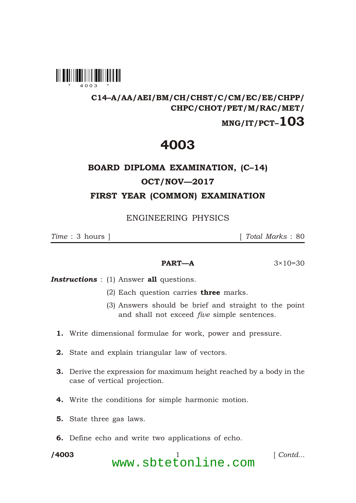

#### C14–A/AA/AEI/BM/CH/CHST/C/CM/EC/EE/CHPP/ CHPC/CHOT/PET/M/RAC/MET/

### $MNG/IT/PCT-103$

## 4003

# BOARD DIPLOMA EXAMINATION, (C–14) OCT/NOV—2017 FIRST YEAR (COMMON) EXAMINATION

ENGINEERING PHYSICS

*Time* : 3 hours ] [ *Total Marks* : 80

#### **PART—A**  $3 \times 10 = 30$

**Instructions** : (1) Answer all questions.

- (2) Each question carries **three** marks.
- (3) Answers should be brief and straight to the point and shall not exceed *five* simple sentences.
- 1. Write dimensional formulae for work, power and pressure.
- 2. State and explain triangular law of vectors.
- 3. Derive the expression for maximum height reached by a body in the case of vertical projection.
- 4. Write the conditions for simple harmonic motion.
- 5. State three gas laws.
- 6. Define echo and write two applications of echo.

/4003

\*

/4003 1 [ *Contd...* www.sbtetonline.com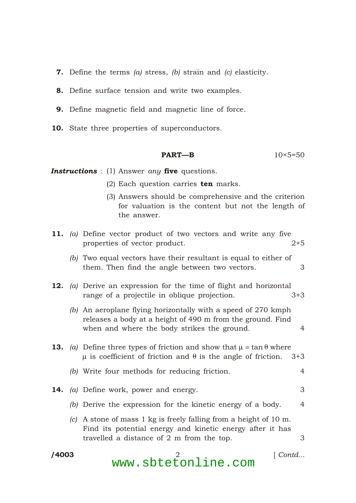- **7.** Define the terms  $(a)$  stress,  $(b)$  strain and  $(c)$  elasticity.
- 8. Define surface tension and write two examples.
- 9. Define magnetic field and magnetic line of force.
- 10. State three properties of superconductors.

$$
PART-B \t\t 10 \times 5=50
$$

*Instructions* : (1) Answer *any* five questions.

\*

- (2) Each question carries  $ten$  marks.
- (3) Answers should be comprehensive and the criterion for valuation is the content but not the length of the answer.

|       |  | 11. (a) Define vector product of two vectors and write any five<br>properties of vector product.<br>$2 + 5$                                                                                           |
|-------|--|-------------------------------------------------------------------------------------------------------------------------------------------------------------------------------------------------------|
|       |  | (b) Two equal vectors have their resultant is equal to either of<br>them. Then find the angle between two vectors.<br>3                                                                               |
|       |  | <b>12.</b> (a) Derive an expression for the time of flight and horizontal<br>range of a projectile in oblique projection.<br>$3+3$                                                                    |
|       |  | (b) An aeroplane flying horizontally with a speed of 270 kmph<br>releases a body at a height of 490 m from the ground. Find<br>when and where the body strikes the ground.<br>4                       |
|       |  | <b>13.</b> (a) Define three types of friction and show that<br>tan where<br>is coefficient of friction and is the angle of friction. $3+3$                                                            |
|       |  | (b) Write four methods for reducing friction.<br>4                                                                                                                                                    |
|       |  | 3<br>14. (a) Define work, power and energy.                                                                                                                                                           |
|       |  | (b) Derive the expression for the kinetic energy of a body.<br>4                                                                                                                                      |
|       |  | (c) A stone of mass $1 \text{ kg}$ is freely falling from a height of $10 \text{ m}$ .<br>Find its potential energy and kinetic energy after it has<br>travelled a distance of 2 m from the top.<br>3 |
| /4003 |  | Contd                                                                                                                                                                                                 |

www.sbtetonline.com